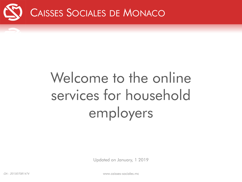

## Welcome to the online services for household employers

Updated on January, 1 2019

GA - <sup>201507081474</sup> www.caisses-sociales.mc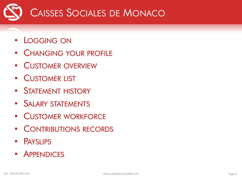

- LOGGING ON
- CHANGING YOUR PROFILE
- CUSTOMER OVERVIEW
- CUSTOMER LIST
- STATEMENT HISTORY
- SALARY STATEMENTS
- CUSTOMER WORKFORCE
- CONTRIBUTIONS RECORDS
- PAYSLIPS
- APPENDICES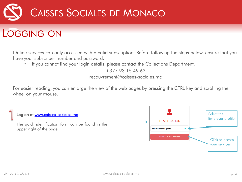

### LOGGING ON

Online services can only accessed with a valid subscription. Before following the steps below, ensure that you have your subscriber number and password.

• If you cannot find your login details, please contact the Collections Department.

+377 93 15 49 62

recouvrement@caisses-sociales.mc

For easier reading, you can enlarge the view of the web pages by pressing the CTRL key and scrolling the wheel on your mouse.

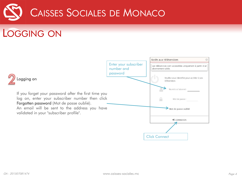

LOGGING ON

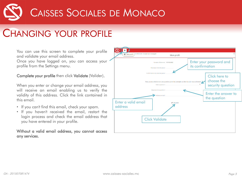### CHANGING YOUR PROFILE

You can use this screen to complete your profile and validate your email address.

Once you have logged on, you can access your profile from the Settings menu.

#### Complete your profile then click Validate (Valider).

When you enter or change your email address, you will receive an email enabling us to verify the validity of this address. Click the link contained in this email.

- If you can't find this email, check your spam.
- If you haven't received the email, restart the login process and check the email address that you have entered in your profile.

#### Without a valid email address, you cannot access any services.

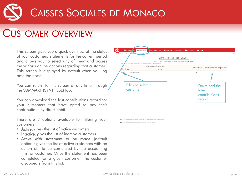#### CUSTOMER OVERVIEW

This screen gives you a quick overview of the status of your customers' statements for the current period and allows you to select any of them and access the various online options regarding that customer. This screen is displayed by default when you log onto the portal.

You can return to this screen at any time through the SUMMARY (SYNTHESE) tab.

You can download the last contributions record for your customers that have opted to pay their contributions by direct debit.

There are 3 options available for filtering your customers:

- Active: gives the list of active customers
- Inactive: gives the list of inactive customers
- Active with statement to be made (default option): gives the list of active customers with an action still to be completed by the accounting firm or customer. Once the statement has been completed for a given customer, the customer disappears from this list.

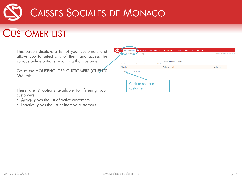

### CUSTOMER LIST

This screen displays a list of your customers and allows you to select any of them and access the various online options regarding that customer.

Go to the HOUSEHOLDER CUSTOMERS (CLIENTS MM) tab.

There are 2 options available for filtering your customers:

- Active: gives the list of active customers
- Inactive: gives the list of inactive customers

| votreemail@votreadresse.mc<br>999 VOTRE NOM                            |                       |                             |  | Dernière connexion le 19/06/2015 |
|------------------------------------------------------------------------|-----------------------|-----------------------------|--|----------------------------------|
|                                                                        |                       |                             |  |                                  |
|                                                                        |                       | Clients @ Actifs O Inactifs |  |                                  |
| Sélectionnez le client en cliquant sur le lien associé à son matricule |                       |                             |  |                                  |
| Matricule                                                              | <b>Raison sociale</b> |                             |  | Adresse                          |
| <b>VOTRE CLIENT</b><br>88888                                           |                       |                             |  | $\blacksquare$                   |
|                                                                        |                       |                             |  |                                  |
|                                                                        |                       |                             |  |                                  |
|                                                                        |                       |                             |  |                                  |
| Click to select a                                                      |                       |                             |  |                                  |
| customer                                                               |                       |                             |  |                                  |
|                                                                        |                       |                             |  |                                  |
|                                                                        |                       |                             |  |                                  |
|                                                                        |                       |                             |  |                                  |
|                                                                        |                       |                             |  |                                  |
|                                                                        |                       |                             |  |                                  |
|                                                                        |                       |                             |  |                                  |
|                                                                        |                       |                             |  |                                  |
|                                                                        |                       |                             |  |                                  |
|                                                                        |                       |                             |  |                                  |
|                                                                        |                       |                             |  |                                  |
|                                                                        |                       |                             |  |                                  |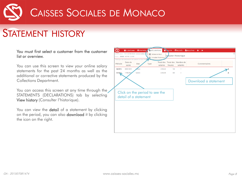### STATEMENT HISTORY

#### You must first select a customer from the customer list or overview.

You can use this screen to view your online salary statements for the past 24 months as well as the additional or corrective statements produced by the Collections Department.

You can access this screen at any time through the STATEMENTS (DECLARATIONS) tab by selecting View history (Consulter l'historique).

You can view the **detail** of a statement by clicking on the period, you can also download it by clicking the icon on the right.

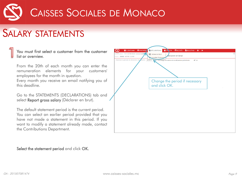### SALARY STATEMENTS

#### You must first select a customer from the customer list or overview.

From the 20th of each month you can enter the remuneration elements for your customers' employees for the month in question.

Every month you receive an email notifying you of this deadline.

Go to the STATEMENTS (DECLARATIONS) tab and select Report gross salary (Déclarer en brut).

The default statement period is the current period. You can select an earlier period provided that you have not made a statement in this period. If you want to modify a statement already made, contact the Contributions Department.

| Client: 88888 VOTRE CLIENT<br>Choisissez la période de déclaration des | <b>Déclarer en brut</b><br>Consulter l'historique<br>alaires: 06/2015<br>$\vee$ OK |  |
|------------------------------------------------------------------------|------------------------------------------------------------------------------------|--|
|                                                                        | Pré-charger les salaires de la déclaration précédente                              |  |
|                                                                        |                                                                                    |  |
|                                                                        |                                                                                    |  |
|                                                                        |                                                                                    |  |
|                                                                        | Change the period if necessary<br>and click OK.                                    |  |
|                                                                        |                                                                                    |  |
|                                                                        |                                                                                    |  |
|                                                                        |                                                                                    |  |
|                                                                        |                                                                                    |  |
|                                                                        |                                                                                    |  |
|                                                                        |                                                                                    |  |
|                                                                        |                                                                                    |  |
|                                                                        |                                                                                    |  |

Select the statement period and click OK.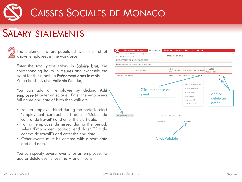### SALARY STATEMENTS

The statement is pre-populated with the list of known employees in the workforce.

Enter the total gross salary in Salaire brut, the corresponding hours in Heures and eventualy the event for this month in Evénement dans le mois. When finished, click **Validate** (Valider).

You can add an employee by clicking Add employee (Ajouter un salarié). Enter the employee's full name and date of birth then validate.

- For an employee hired during the period, select "Employment contract start date" ("Début du contrat de travail") and enter the start date.
- For an employee dismissed during the period, select "Employment contract end date" ("Fin du contrat de travail") and enter the end date.
- Other events must be entered with a start date and end date.

You can specify several events for an employee. To add or delete events, use the + and - icons.

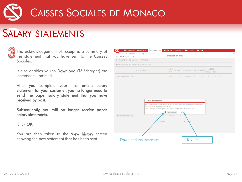### SALARY STATEMENTS



The acknowledgement of receipt is a summary of the statement that you have sent to the Caisses Sociales.

It also enables you to Download (Télécharger) the statement submitted.

After you complete your first online salary statement for your customer, you no longer need to send the paper salary statement that you have received by post.

Subsequently, you will no longer receive paper salary statements.

Click OK.

You are then taken to the View history screen showing the new statement that has been sent.

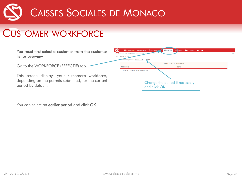

### CUSTOMER WORKFORCE

You must first select a customer from the custon list or overview.

Go to the WORKFORCE (EFFECTIF) tab. -

This screen displays your customer's workfor depending on the permits submitted, for the curr period by default.

You can select an earlier period and click OK.

| noisissez la période : 06/2015 - | $\vee$ OK<br>Identification du salarié |
|----------------------------------|----------------------------------------|
| Matricule                        | <b>Nom</b>                             |
| 1111111                          | L'EMPLOYE DE VOTRE CLIENT              |
|                                  |                                        |
|                                  | Change the period if necessary         |
|                                  | and click OK.                          |
|                                  |                                        |
|                                  |                                        |
|                                  |                                        |
|                                  |                                        |
|                                  |                                        |
|                                  |                                        |
|                                  |                                        |
|                                  |                                        |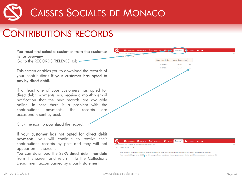### CONTRIBUTIONS RECORDS

You must first select a customer from the customer list or overview.

Go to the RECORDS (RELEVES) tab.

This screen enables you to download the records of your contributions if your customer has opted to pay by direct debit.

If at least one of your customers has opted for direct debit payments, you receive a monthly email notification that the new records are available online. In case there is a problem with the contributions payments, the records are occasionally sent by post.

Click the icon to download the record.

If your customer has not opted for direct debit payments, you will continue to receive their contributions records by post and they will not appear on this screen.

You can download the **SEPA direct debit mandate** from this screen and return it to the Collections Department accompanied by a bank statement.



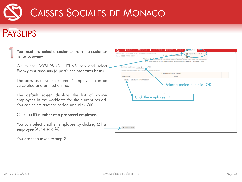

### PAYSLIPS

You must first select a customer from the customer 9999 VOTRE NOM votraamail@votraadrassa A partir des montants bru list or overview. A parti<mark>r d</mark> of: 88888 VOTRE CUENT Go to the PAYSLIPS (BULLETINS) tab and select Choisissez la période : 01/2019 -From gross amounts (A partir des montants bruts). illetin de salaire Identification du salarié Matricule Nom 1111111 I'EMPLOYE DE VOTRE CHENT The payslips of your customers' employees can be Select a period and click OK calculated and printed online. The default screen displays the list of known Click the employee ID employees in the workforce for the current period. You can select another period and click OK. Click the ID number of a proposed employee. You can select another employee by clicking Other AUTRE SALARIÉ employee (Autre salarié).

You are then taken to step 2.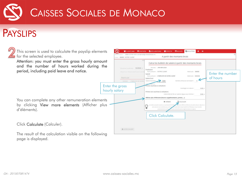

### **PAYSLIPS**

| This screen is used to calculate the payslip elements<br>for the selected employee.                                                        | dentification: 9999 VOTRE NOM votreemail@votreadresse.mc<br>lient: 88888 VOTRE CLIENT                             | 불 CLIENTS MM EI SYNTHESE LADECLARATIONS 불 EFFECTIF EI RELEVÉS B BULLETINS D D+<br>A partir des montants bruts                                                                                                                       |                                                                     |                              |
|--------------------------------------------------------------------------------------------------------------------------------------------|-------------------------------------------------------------------------------------------------------------------|-------------------------------------------------------------------------------------------------------------------------------------------------------------------------------------------------------------------------------------|---------------------------------------------------------------------|------------------------------|
| Attention: you must enter the gross hourly amount<br>and the number of hours worked during the<br>period, including paid leave and notice. | Chommer la periode: 01/2019 =<br>Classer sur chapper salared poor cells<br>Matricule<br>ITITIT L'EMPLOYE DE VOTRI | Calcul du bulletin de salaire à partir des montants bruts<br>Période: JANVIER 2019<br>Employeur<br>Nom prénom : VOTRE CLIENT<br>Salarie<br>Nom prénom : L'EMPLOYE DE VOTRE CLIENT<br>Salaire brut<br>Salaire horaire*:              | Matricule: 88888<br>Matricule: 1111111<br>Nombre d'heures normales* | Enter the number<br>of hours |
| You can complete any other remuneration elements<br>by clicking View more elements (Afficher plus<br>d'éléments).                          | Enter the gross<br>hourly salary                                                                                  | rimes soumises à cotisation<br>Primes non soumises a cotisation<br>Indemnité de 5% sur salaires égaux aux minima-<br>Afficher plus d'éléments (heures supplémentaires, primes, )<br>CALCULER<br><b>X</b> FERMER<br>Click Calculate. | Avantages en nature:<br>$0.00 =$<br>$0.00$ $\odot$                  |                              |
| Click Calculate (Calculer).                                                                                                                |                                                                                                                   |                                                                                                                                                                                                                                     |                                                                     |                              |
| The result of the calculation visible on the following                                                                                     | A AUTRE SALARIE                                                                                                   |                                                                                                                                                                                                                                     |                                                                     |                              |

page is displayed.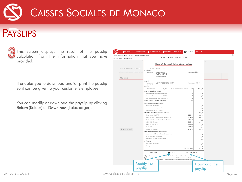

### PAYSLIPS



This screen displays the result of the payslip calculation from the information that you have provided.

It enables you to download and/or print the payslip so it can be given to your customer's employee.

You can modify or download the payslip by clicking Return (Retour) or Download (Télécharger).

| CLIENTS MM                                                | <b>DÉCLARATIONS</b><br><b>EE SYNTHÈSE</b><br>警 GESTION<br><b>RELEVÉS</b>               | <b>B</b> BULLETINS                                     | $\bullet$<br>O        |  |
|-----------------------------------------------------------|----------------------------------------------------------------------------------------|--------------------------------------------------------|-----------------------|--|
| Identification: 9999 VOTRE NOM votreemail@votreadresse.mc | A partir des montants bruts                                                            |                                                        |                       |  |
| Client: 8888 VOTRE CLIENT                                 |                                                                                        |                                                        |                       |  |
|                                                           | At                                                                                     |                                                        | is.                   |  |
|                                                           | Résultat du calcul du bulletin de salaire                                              |                                                        |                       |  |
|                                                           | Période: JANVIER 2019                                                                  |                                                        |                       |  |
| Choisissez la période : 01/2019 -                         | Employeur                                                                              |                                                        |                       |  |
| Cliquez sur chaque salarié pour calcule                   | Nom prénom : VOTRE CLIENT                                                              | Matricule: 8888                                        |                       |  |
|                                                           | Adresse: RUE FLORESTINE<br>98000 MONACO                                                |                                                        |                       |  |
| Matricule                                                 |                                                                                        |                                                        |                       |  |
|                                                           | Salarié                                                                                |                                                        |                       |  |
|                                                           | Nom prénom : L'EMPLOYE DE VOTRE CLIENT                                                 | Matricule: 111111                                      |                       |  |
|                                                           | Oualification:                                                                         |                                                        |                       |  |
|                                                           | Salaire<br>Salaire horaire<br>22,000                                                   | 169<br>Nombre d'heures normales                        | 3718,00               |  |
|                                                           | Heures supplémentaires                                                                 |                                                        |                       |  |
|                                                           | Nombre d'heures majorées à 25%                                                         | $\circ$                                                | 0,00                  |  |
|                                                           | Nombre d'heures majorées à 50%                                                         | $\mathbb O$                                            | 0,00                  |  |
|                                                           | Nombre d'heures majorées à 100%                                                        | $\mathbf{0}$                                           | 0.00                  |  |
|                                                           | Nombre total d'heures à déclarer                                                       | 169                                                    |                       |  |
|                                                           | Primes soumises à cotisations                                                          |                                                        |                       |  |
|                                                           | Avantages en nature                                                                    |                                                        | 0,00                  |  |
|                                                           | Indemnité de congés payés                                                              |                                                        | 0.00                  |  |
|                                                           | Gratification de fin d'année                                                           |                                                        | 0,00                  |  |
|                                                           | Rémunération brute totale à déclarer                                                   |                                                        | 3718.00               |  |
|                                                           | Retenue retraite CAR<br>AG2R Retraite Complémentaire - Tranche 1                       | 6,550 %<br>3,148 %                                     | $-243,53$             |  |
|                                                           | AG2R Retraite Complémentaire - Tranche 2                                               | 8,636 %                                                | $-104,23$<br>$-35.15$ |  |
|                                                           | AG2R CEG - Tranche 1                                                                   | 0,860 %                                                | $-28,47$              |  |
|                                                           | AG2R CEG - Tranche 2                                                                   | 1,080 %                                                | $-4.40$               |  |
|                                                           | AG2R CET                                                                               | 0.140 %                                                | $-5,21$               |  |
| AUTRE SALARIÉ                                             | Assurance chômage                                                                      | 2,400 %                                                | $-89,23$              |  |
|                                                           | Primes non soumises à cotisations                                                      |                                                        |                       |  |
|                                                           | Indemnité de 5% sur salaires égaux aux minima                                          |                                                        | 0,00                  |  |
|                                                           | Indemnité de licenciement                                                              |                                                        | 0.00                  |  |
|                                                           | Indemnité de départ à la retraite                                                      |                                                        | 0,00                  |  |
|                                                           | A déduire                                                                              |                                                        |                       |  |
|                                                           | Avantages en nature                                                                    |                                                        | 0,00                  |  |
|                                                           | Acomptes                                                                               | NET A PAYER                                            | 0.00                  |  |
|                                                           |                                                                                        |                                                        | 3 207,78              |  |
|                                                           | <b>D</b> RETOUR<br><b>X</b> FERMER                                                     | <b>*</b> TÉLÉCHARGER                                   |                       |  |
|                                                           | Le bulletin proposé con.                                                               | à faciliter le calcul des différents éléments de sala. | ant y figurer en      |  |
|                                                           | es mentions qui y sont portées restent de la responsabilité de l'Employeur à qui incor |                                                        |                       |  |
|                                                           | plysivement le respect des textes conventionnels et réglementaires en vigueur.         |                                                        |                       |  |
|                                                           | Modify the                                                                             |                                                        |                       |  |
|                                                           |                                                                                        |                                                        | Download the          |  |
|                                                           | payslip                                                                                |                                                        | payslip               |  |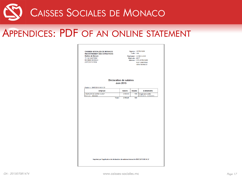#### APPENDICES: PDF OF AN ONLINE STATEMENT